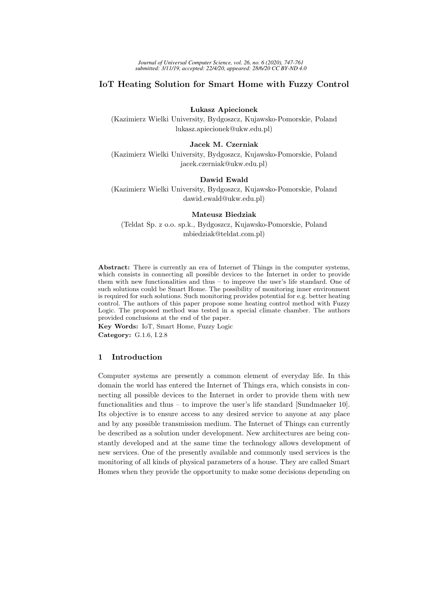# IoT Heating Solution for Smart Home with Fuzzy Control

Lukasz Apiecionek

(Kazimierz Wielki University, Bydgoszcz, Kujawsko-Pomorskie, Poland lukasz.apiecionek@ukw.edu.pl)

#### Jacek M. Czerniak

(Kazimierz Wielki University, Bydgoszcz, Kujawsko-Pomorskie, Poland jacek.czerniak@ukw.edu.pl)

## Dawid Ewald

(Kazimierz Wielki University, Bydgoszcz, Kujawsko-Pomorskie, Poland dawid.ewald@ukw.edu.pl)

## Mateusz Biedziak

(Teldat Sp. z o.o. sp.k., Bydgoszcz, Kujawsko-Pomorskie, Poland mbiedziak@teldat.com.pl)

Abstract: There is currently an era of Internet of Things in the computer systems, which consists in connecting all possible devices to the Internet in order to provide them with new functionalities and thus – to improve the user's life standard. One of such solutions could be Smart Home. The possibility of monitoring inner environment is required for such solutions. Such monitoring provides potential for e.g. better heating control. The authors of this paper propose some heating control method with Fuzzy Logic. The proposed method was tested in a special climate chamber. The authors provided conclusions at the end of the paper.

Key Words: IoT, Smart Home, Fuzzy Logic Category: G.1.6, I.2.8

# 1 Introduction

Computer systems are presently a common element of everyday life. In this domain the world has entered the Internet of Things era, which consists in connecting all possible devices to the Internet in order to provide them with new functionalities and thus – to improve the user's life standard [Sundmaeker 10]. Its objective is to ensure access to any desired service to anyone at any place and by any possible transmission medium. The Internet of Things can currently be described as a solution under development. New architectures are being constantly developed and at the same time the technology allows development of new services. One of the presently available and commonly used services is the monitoring of all kinds of physical parameters of a house. They are called Smart Homes when they provide the opportunity to make some decisions depending on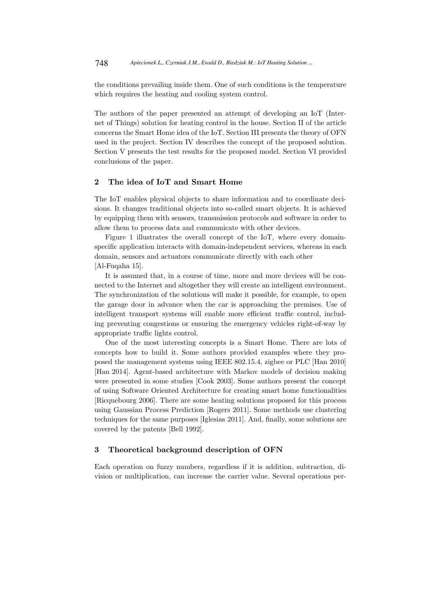the conditions prevailing inside them. One of such conditions is the temperature which requires the heating and cooling system control.

The authors of the paper presented an attempt of developing an IoT (Internet of Things) solution for heating control in the house. Section II of the article concerns the Smart Home idea of the IoT. Section III presents the theory of OFN used in the project. Section IV describes the concept of the proposed solution. Section V presents the test results for the proposed model. Section VI provided conclusions of the paper.

## 2 The idea of IoT and Smart Home

The IoT enables physical objects to share information and to coordinate decisions. It changes traditional objects into so-called smart objects. It is achieved by equipping them with sensors, transmission protocols and software in order to allow them to process data and communicate with other devices.

Figure 1 illustrates the overall concept of the IoT, where every domainspecific application interacts with domain-independent services, whereas in each domain, sensors and actuators communicate directly with each other [Al-Fuqaha 15].

It is assumed that, in a course of time, more and more devices will be connected to the Internet and altogether they will create an intelligent environment. The synchronization of the solutions will make it possible, for example, to open the garage door in advance when the car is approaching the premises. Use of intelligent transport systems will enable more efficient traffic control, including preventing congestions or ensuring the emergency vehicles right-of-way by appropriate traffic lights control.

One of the most interesting concepts is a Smart Home. There are lots of concepts how to build it. Some authors provided examples where they proposed the management systems using IEEE 802.15.4, zigbee or PLC [Han 2010] [Han 2014]. Agent-based architecture with Markov models of decision making were presented in some studies [Cook 2003]. Some authors present the concept of using Software Oriented Architecture for creating smart home functionalities [Ricquebourg 2006]. There are some heating solutions proposed for this process using Gaussian Process Prediction [Rogers 2011]. Some methods use clustering techniques for the same purposes [Iglesias 2011]. And, finally, some solutions are covered by the patents [Bell 1992].

## 3 Theoretical background description of OFN

Each operation on fuzzy numbers, regardless if it is addition, subtraction, division or multiplication, can increase the carrier value. Several operations per-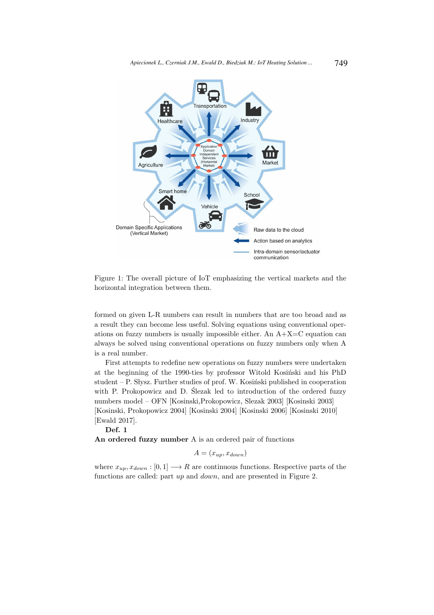

Figure 1: The overall picture of IoT emphasizing the vertical markets and the horizontal integration between them.

formed on given L-R numbers can result in numbers that are too broad and as a result they can become less useful. Solving equations using conventional operations on fuzzy numbers is usually impossible either. An  $A + X = C$  equation can always be solved using conventional operations on fuzzy numbers only when A is a real number.

First attempts to redefine new operations on fuzzy numbers were undertaken at the beginning of the 1990-ties by professor Witold Kosiński and his PhD student – P. Słysz. Further studies of prof. W. Kosiński published in cooperation with P. Prokopowicz and D. Slezak led to introduction of the ordered fuzzy numbers model – OFN [Kosinski,Prokopowicz, Slezak 2003] [Kosinski 2003] [Kosinski, Prokopowicz 2004] [Kosinski 2004] [Kosinski 2006] [Kosinski 2010] [Ewald 2017].

Def. 1

An ordered fuzzy number A is an ordered pair of functions

$$
A = (x_{up}, x_{down})
$$

where  $x_{up}, x_{down} : [0, 1] \longrightarrow R$  are continuous functions. Respective parts of the functions are called: part up and down, and are presented in Figure 2.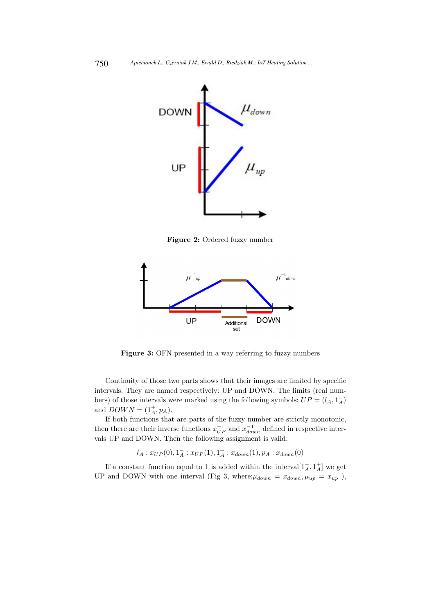

Figure 2: Ordered fuzzy number



Figure 3: OFN presented in a way referring to fuzzy numbers

Continuity of those two parts shows that their images are limited by specific intervals. They are named respectively: UP and DOWN. The limits (real numbers) of those intervals were marked using the following symbols:  $UP = (l_A, 1_A^-)$ and  $DOWN = (1^{+}_{A}, p_{A}).$ 

If both functions that are parts of the fuzzy number are strictly monotonic, then there are their inverse functions  $x_{UP}^{-1}$  and  $x_{down}^{-1}$  defined in respective intervals UP and DOWN. Then the following assignment is valid:

$$
l_A: x_{UP}(0), 1^-_A: x_{UP}(1), 1^+_A: x_{down}(1), p_A: x_{down}(0)\\
$$

If a constant function equal to 1 is added within the interval $[1_A^-, 1_A^+]$  we get UP and DOWN with one interval (Fig 3, where: $\mu_{down} = x_{down}$ ,  $\mu_{up} = x_{up}$ ),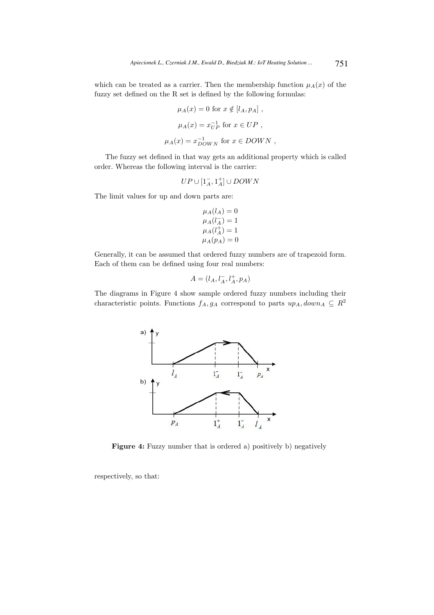which can be treated as a carrier. Then the membership function  $\mu_A(x)$  of the fuzzy set defined on the R set is defined by the following formulas:

$$
\mu_A(x) = 0 \text{ for } x \notin [l_A, p_A],
$$
  
\n
$$
\mu_A(x) = x_{UP}^{-1} \text{ for } x \in UP,
$$
  
\n
$$
\mu_A(x) = x_{DOWN}^{-1} \text{ for } x \in DOWN,
$$

The fuzzy set defined in that way gets an additional property which is called order. Whereas the following interval is the carrier:

$$
UP\cup [1^-_A,1^+_A]\cup DOM'N
$$

The limit values for up and down parts are:

$$
\mu_A(l_A) = 0
$$
  
\n
$$
\mu_A(l_A^-) = 1
$$
  
\n
$$
\mu_A(l_A^+) = 1
$$
  
\n
$$
\mu_A(p_A) = 0
$$

Generally, it can be assumed that ordered fuzzy numbers are of trapezoid form. Each of them can be defined using four real numbers:

$$
A = (l_A, l_A^-, l_A^+, p_A)
$$

The diagrams in Figure 4 show sample ordered fuzzy numbers including their characteristic points. Functions  $f_A, g_A$  correspond to parts  $up_A, down_A \subseteq R^2$ 



Figure 4: Fuzzy number that is ordered a) positively b) negatively

respectively, so that: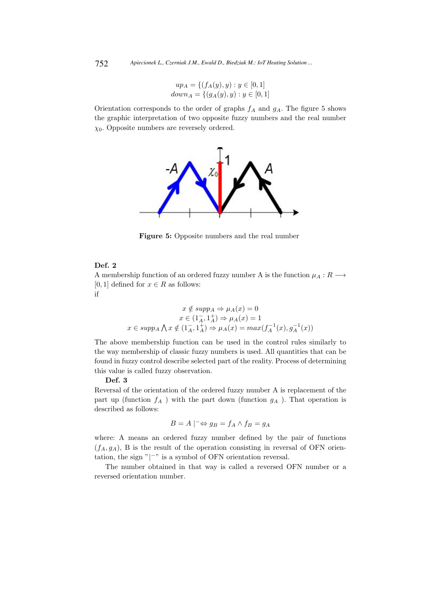$$
up_A = \{ (f_A(y), y) : y \in [0, 1] down_A = \{ (g_A(y), y) : y \in [0, 1] \}
$$

Orientation corresponds to the order of graphs  $f_A$  and  $g_A$ . The figure 5 shows the graphic interpretation of two opposite fuzzy numbers and the real number  $\chi_0$ . Opposite numbers are reversely ordered.



Figure 5: Opposite numbers and the real number

### Def. 2

A membership function of an ordered fuzzy number A is the function  $\mu_A : R \longrightarrow$ [0, 1] defined for  $x \in R$  as follows: if

$$
x \notin supp_A \Rightarrow \mu_A(x) = 0
$$
  

$$
x \in (1_A^-, 1_A^+) \Rightarrow \mu_A(x) = 1
$$
  

$$
x \in supp_A \bigwedge x \notin (1_A^-, 1_A^+) \Rightarrow \mu_A(x) = max(f_A^{-1}(x), g_A^{-1}(x))
$$

The above membership function can be used in the control rules similarly to the way membership of classic fuzzy numbers is used. All quantities that can be found in fuzzy control describe selected part of the reality. Process of determining this value is called fuzzy observation.

#### Def. 3

Reversal of the orientation of the ordered fuzzy number A is replacement of the part up (function  $f_A$ ) with the part down (function  $g_A$ ). That operation is described as follows:

$$
B = A \mid^{-} \Leftrightarrow g_B = f_A \wedge f_B = g_A
$$

where: A means an ordered fuzzy number defined by the pair of functions  $(f_A, g_A)$ , B is the result of the operation consisting in reversal of OFN orientation, the sign " $|^{-n}$  is a symbol of OFN orientation reversal.

The number obtained in that way is called a reversed OFN number or a reversed orientation number.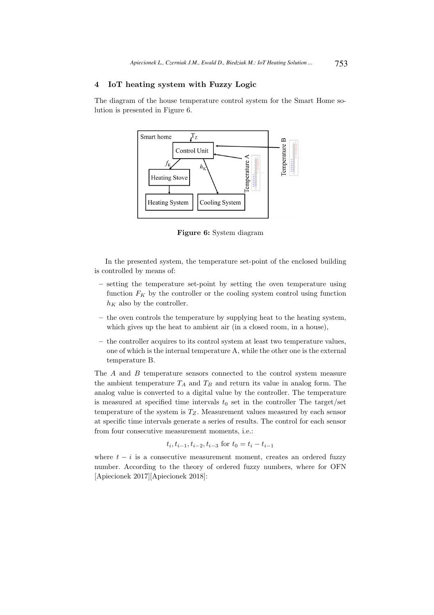# 4 IoT heating system with Fuzzy Logic

The diagram of the house temperature control system for the Smart Home solution is presented in Figure 6.



Figure 6: System diagram

In the presented system, the temperature set-point of the enclosed building is controlled by means of:

- setting the temperature set-point by setting the oven temperature using function  $F_K$  by the controller or the cooling system control using function  $h_K$  also by the controller.
- the oven controls the temperature by supplying heat to the heating system, which gives up the heat to ambient air (in a closed room, in a house),
- the controller acquires to its control system at least two temperature values, one of which is the internal temperature A, while the other one is the external temperature B.

The A and B temperature sensors connected to the control system measure the ambient temperature  $T_A$  and  $T_B$  and return its value in analog form. The analog value is converted to a digital value by the controller. The temperature is measured at specified time intervals  $t_0$  set in the controller The target/set temperature of the system is  $T_{Z}$ . Measurement values measured by each sensor at specific time intervals generate a series of results. The control for each sensor from four consecutive measurement moments, i.e.:

$$
t_i, t_{i-1}, t_{i-2}, t_{i-3} \text{ for } t_0 = t_i - t_{i-1}
$$

where  $t - i$  is a consecutive measurement moment, creates an ordered fuzzy number. According to the theory of ordered fuzzy numbers, where for OFN [Apiecionek 2017][Apiecionek 2018]: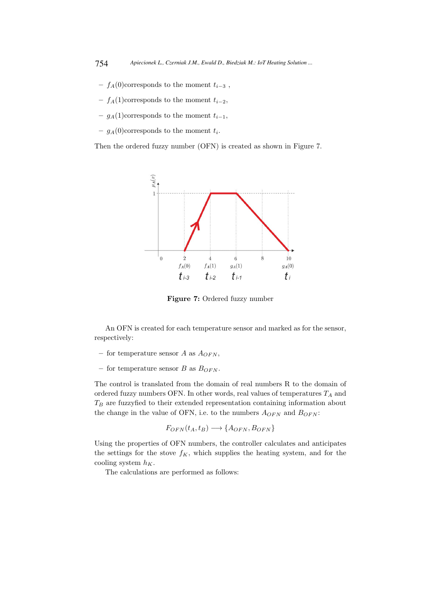- $f_A(0)$ corresponds to the moment  $t_{i-3}$ ,
- $f_A(1)$ corresponds to the moment  $t_{i-2}$ ,
- $g_A(1)$ corresponds to the moment  $t_{i-1}$ ,
- $-g_A(0)$ corresponds to the moment  $t_i$ .

Then the ordered fuzzy number (OFN) is created as shown in Figure 7.



Figure 7: Ordered fuzzy number

An OFN is created for each temperature sensor and marked as for the sensor, respectively:

- for temperature sensor A as  $A_{OFN}$ ,
- for temperature sensor B as  $B_{OFN}$ .

The control is translated from the domain of real numbers R to the domain of ordered fuzzy numbers OFN. In other words, real values of temperatures  $T_A$  and  $T_B$  are fuzzyfied to their extended representation containing information about the change in the value of OFN, i.e. to the numbers  $A_{OFN}$  and  $B_{OFN}$ :

$$
F_{OFN}(t_A, t_B) \longrightarrow \{A_{OFN}, B_{OFN}\}\
$$

Using the properties of OFN numbers, the controller calculates and anticipates the settings for the stove  $f_K$ , which supplies the heating system, and for the cooling system  $h_K$ .

The calculations are performed as follows: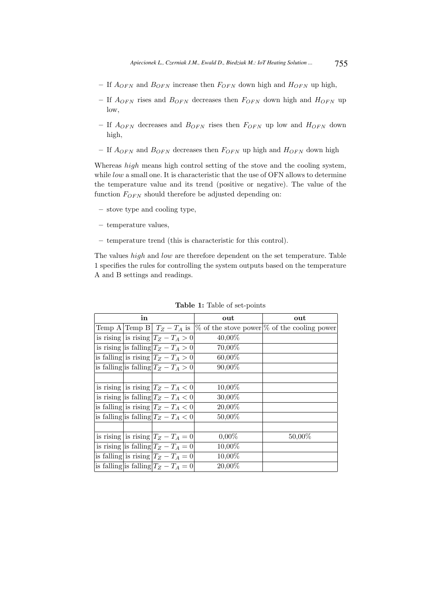- If  $A_{OFN}$  and  $B_{OFN}$  increase then  $F_{OFN}$  down high and  $H_{OFN}$  up high,
- If  $A_{OFN}$  rises and  $B_{OFN}$  decreases then  $F_{OFN}$  down high and  $H_{OFN}$  up low,
- If  $A_{OFN}$  decreases and  $B_{OFN}$  rises then  $F_{OFN}$  up low and  $H_{OFN}$  down high,
- If  $A_{OFN}$  and  $B_{OFN}$  decreases then  $F_{OFN}$  up high and  $H_{OFN}$  down high

Whereas *high* means high control setting of the stove and the cooling system, while *low* a small one. It is characteristic that the use of OFN allows to determine the temperature value and its trend (positive or negative). The value of the function  $F_{OFN}$  should therefore be adjusted depending on:

- stove type and cooling type,
- temperature values,
- temperature trend (this is characteristic for this control).

The values high and low are therefore dependent on the set temperature. Table 1 specifies the rules for controlling the system outputs based on the temperature A and B settings and readings.

| in |  |                                         | out       | out                                                                            |
|----|--|-----------------------------------------|-----------|--------------------------------------------------------------------------------|
|    |  |                                         |           | Temp A Temp B $T_Z - T_A$ is $\%$ of the stove power $\%$ of the cooling power |
|    |  | is rising is rising $ T_Z - T_A > 0 $   | $40,00\%$ |                                                                                |
|    |  | is rising is falling $T_Z - T_A > 0$    | 70,00%    |                                                                                |
|    |  | is falling is rising $ T_Z - T_A > 0 $  | 60,00%    |                                                                                |
|    |  | is falling is falling $ T_Z-T_A>0 $     | 90,00%    |                                                                                |
|    |  |                                         |           |                                                                                |
|    |  | is rising is rising $ T_Z - T_A < 0 $   | 10,00%    |                                                                                |
|    |  | is rising is falling $ T_Z-T_A <0$      | 30,00%    |                                                                                |
|    |  | is falling is rising $ T_Z - T_A < 0 $  | 20,00%    |                                                                                |
|    |  | is falling is falling $T_Z - T_A < 0$   | 50,00%    |                                                                                |
|    |  |                                         |           |                                                                                |
|    |  | is rising is rising $ T_Z - T_A = 0 $   | $0,00\%$  | 50,00%                                                                         |
|    |  | is rising is falling $ T_Z - T_A = 0 $  | 10,00%    |                                                                                |
|    |  | is falling is rising $ T_Z - T_A = 0 $  | 10,00%    |                                                                                |
|    |  | is falling is falling $ T_Z - T_A = 0 $ | 20,00%    |                                                                                |

Table 1: Table of set-points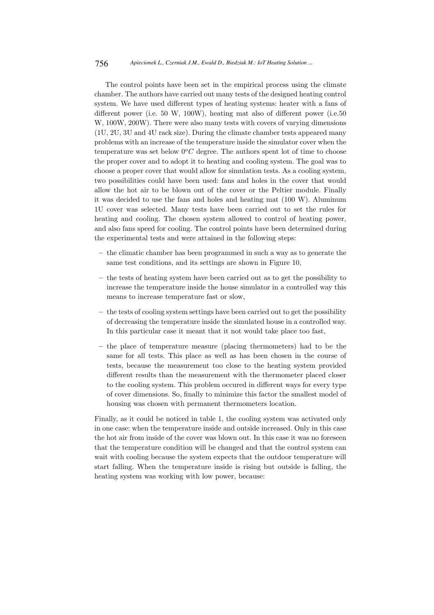#### 756 *Apiecionek L., Czerniak J.M., Ewald D., Biedziak M.: IoT Heating Solution ...*

The control points have been set in the empirical process using the climate chamber. The authors have carried out many tests of the designed heating control system. We have used different types of heating systems: heater with a fans of different power (i.e. 50 W, 100W), heating mat also of different power (i.e.50 W,  $100W$ ,  $200W$ ). There were also many tests with covers of varying dimensions (1U, 2U, 3U and 4U rack size). During the climate chamber tests appeared many problems with an increase of the temperature inside the simulator cover when the temperature was set below  $0^{\circ}C$  degree. The authors spent lot of time to choose the proper cover and to adopt it to heating and cooling system. The goal was to choose a proper cover that would allow for simulation tests. As a cooling system, two possibilities could have been used: fans and holes in the cover that would allow the hot air to be blown out of the cover or the Peltier module. Finally it was decided to use the fans and holes and heating mat (100 W). Aluminum 1U cover was selected. Many tests have been carried out to set the rules for heating and cooling. The chosen system allowed to control of heating power, and also fans speed for cooling. The control points have been determined during the experimental tests and were attained in the following steps:

- the climatic chamber has been programmed in such a way as to generate the same test conditions, and its settings are shown in Figure 10,
- the tests of heating system have been carried out as to get the possibility to increase the temperature inside the house simulator in a controlled way this means to increase temperature fast or slow,
- the tests of cooling system settings have been carried out to get the possibility of decreasing the temperature inside the simulated house in a controlled way. In this particular case it meant that it not would take place too fast,
- the place of temperature measure (placing thermometers) had to be the same for all tests. This place as well as has been chosen in the course of tests, because the measurement too close to the heating system provided different results than the measurement with the thermometer placed closer to the cooling system. This problem occured in different ways for every type of cover dimensions. So, finally to minimize this factor the smallest model of housing was chosen with permanent thermometers location.

Finally, as it could be noticed in table 1, the cooling system was activated only in one case: when the temperature inside and outside increased. Only in this case the hot air from inside of the cover was blown out. In this case it was no foreseen that the temperature condition will be changed and that the control system can wait with cooling because the system expects that the outdoor temperature will start falling. When the temperature inside is rising but outside is falling, the heating system was working with low power, because: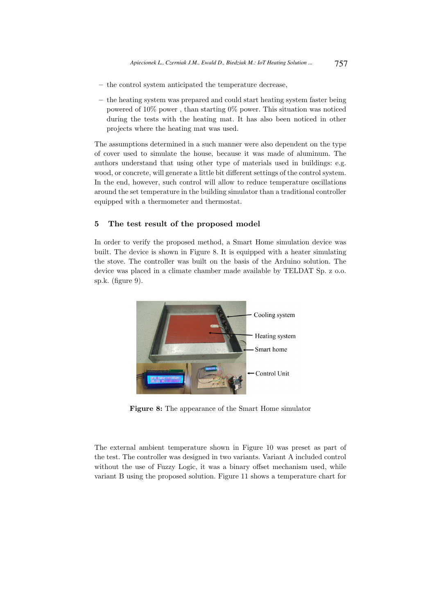- the control system anticipated the temperature decrease,
- the heating system was prepared and could start heating system faster being powered of 10% power , than starting 0% power. This situation was noticed during the tests with the heating mat. It has also been noticed in other projects where the heating mat was used.

The assumptions determined in a such manner were also dependent on the type of cover used to simulate the house, because it was made of aluminum. The authors understand that using other type of materials used in buildings: e.g. wood, or concrete, will generate a little bit different settings of the control system. In the end, however, such control will allow to reduce temperature oscillations around the set temperature in the building simulator than a traditional controller equipped with a thermometer and thermostat.

# 5 The test result of the proposed model

In order to verify the proposed method, a Smart Home simulation device was built. The device is shown in Figure 8. It is equipped with a heater simulating the stove. The controller was built on the basis of the Arduino solution. The device was placed in a climate chamber made available by TELDAT Sp. z o.o. sp.k. (figure 9).



Figure 8: The appearance of the Smart Home simulator

The external ambient temperature shown in Figure 10 was preset as part of the test. The controller was designed in two variants. Variant A included control without the use of Fuzzy Logic, it was a binary offset mechanism used, while variant B using the proposed solution. Figure 11 shows a temperature chart for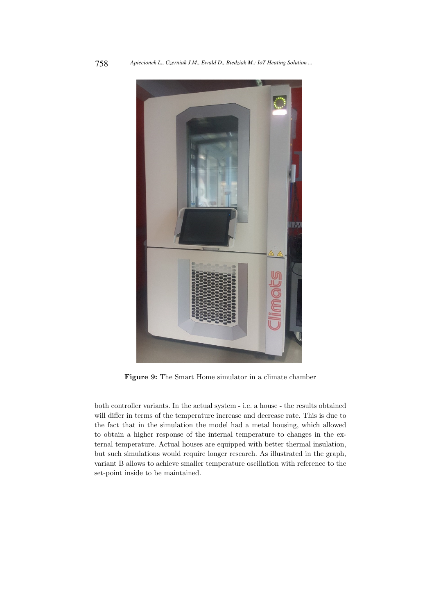

Figure 9: The Smart Home simulator in a climate chamber

both controller variants. In the actual system - i.e. a house - the results obtained will differ in terms of the temperature increase and decrease rate. This is due to the fact that in the simulation the model had a metal housing, which allowed to obtain a higher response of the internal temperature to changes in the external temperature. Actual houses are equipped with better thermal insulation, but such simulations would require longer research. As illustrated in the graph, variant B allows to achieve smaller temperature oscillation with reference to the set-point inside to be maintained.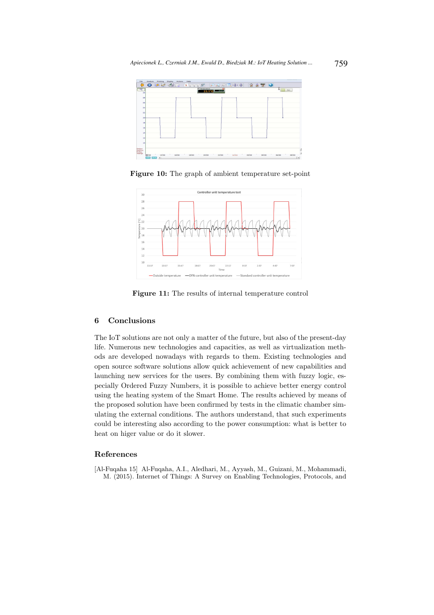

Figure 10: The graph of ambient temperature set-point



Figure 11: The results of internal temperature control

### 6 Conclusions

The IoT solutions are not only a matter of the future, but also of the present-day life. Numerous new technologies and capacities, as well as virtualization methods are developed nowadays with regards to them. Existing technologies and open source software solutions allow quick achievement of new capabilities and launching new services for the users. By combining them with fuzzy logic, especially Ordered Fuzzy Numbers, it is possible to achieve better energy control using the heating system of the Smart Home. The results achieved by means of the proposed solution have been confirmed by tests in the climatic chamber simulating the external conditions. The authors understand, that such experiments could be interesting also according to the power consumption: what is better to heat on higer value or do it slower.

### References

[Al-Fuqaha 15] Al-Fuqaha, A.I., Aledhari, M., Ayyash, M., Guizani, M., Mohammadi, M. (2015). Internet of Things: A Survey on Enabling Technologies, Protocols, and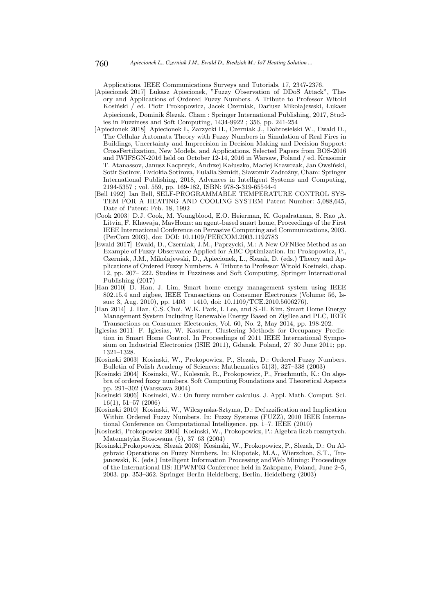Applications. IEEE Communications Surveys and Tutorials, 17, 2347-2376.

- [Apiecionek 2017] Lukasz Apiecionek, "Fuzzy Observation of DDoS Attack", Theory and Applications of Ordered Fuzzy Numbers. A Tribute to Professor Witold Kosiński / ed. Piotr Prokopowicz, Jacek Czerniak, Dariusz Mikołajewski, Lukasz Apiecionek, Dominik Ślezak. Cham : Springer International Publishing, 2017, Studies in Fuzziness and Soft Computing, 1434-9922 ; 356, pp. 241-254
- [Apiecionek 2018] Apiecionek L, Zarzycki H., Czerniak J., Dobrosielski W., Ewald D., The Cellular Automata Theory with Fuzzy Numbers in Simulation of Real Fires in Buildings, Uncertainty and Imprecision in Decision Making and Decision Support: CrossFertilization, New Models, and Applications. Selected Papers from BOS-2016 and IWIFSGN-2016 held on October 12-14, 2016 in Warsaw, Poland / ed. Krassimir T. Atanassov, Janusz Kacprzyk, Andrzej Kałuszko, Maciej Krawczak, Jan Owsiński, Sotir Sotirov, Evdokia Sotirova, Eulalia Szmidt, Sławomir Zadrożny, Cham: Springer International Publishing, 2018, Advances in Intelligent Systems and Computing, 2194-5357 ; vol. 559, pp. 169-182, ISBN: 978-3-319-65544-4
- [Bell 1992] Ian Bell, SELF-PROGRAMMABLE TEMPERATURE CONTROL SYS-TEM FOR A HEATING AND COOLING SYSTEM Patent Number: 5,088,645, Date of Patent: Feb. 18, 1992
- [Cook 2003] D.J. Cook, M. Youngblood, E.O. Heierman, K. Gopalratnam, S. Rao ,A. Litvin, F. Khawaja, MavHome: an agent-based smart home, Proceedings of the First IEEE International Conference on Pervasive Computing and Communications, 2003. (PerCom 2003), doi: DOI: 10.1109/PERCOM.2003.1192783
- [Ewald 2017] Ewald, D., Czerniak, J.M., Paprzycki, M.: A New OFNBee Method as an Example of Fuzzy Observance Applied for ABC Optimization. In: Prokopowicz, P., Czerniak, J.M., Mikolajewski, D., Apiecionek, L., Slezak, D. (eds.) Theory and Applications of Ordered Fuzzy Numbers. A Tribute to Professor Witold Kosinski, chap. 12, pp. 207– 222. Studies in Fuzziness and Soft Computing, Springer International Publishing (2017)
- [Han 2010] D. Han, J. Lim, Smart home energy management system using IEEE 802.15.4 and zigbee, IEEE Transactions on Consumer Electronics (Volume: 56, Issue: 3, Aug. 2010), pp. 1403 - 1410, doi: 10.1109/TCE.2010.5606276).
- [Han 2014] J. Han, C.S. Choi, W.K. Park, I. Lee, and S.-H. Kim, Smart Home Energy Management System Including Renewable Energy Based on ZigBee and PLC, IEEE Transactions on Consumer Electronics, Vol. 60, No. 2, May 2014, pp. 198-202.
- [Iglesias 2011] F. Iglesias, W. Kastner, Clustering Methods for Occupancy Prediction in Smart Home Control. In Proceedings of 2011 IEEE International Symposium on Industrial Electronics (ISIE 2011), Gdansk, Poland, 27–30 June 2011; pp. 1321–1328.
- [Kosinski 2003] Kosinski, W., Prokopowicz, P., Slezak, D.: Ordered Fuzzy Numbers. Bulletin of Polish Academy of Sciences: Mathematics 51(3), 327–338 (2003)
- [Kosinski 2004] Kosinski, W., Kolesnik, R., Prokopowicz, P., Frischmuth, K.: On algebra of ordered fuzzy numbers. Soft Computing Foundations and Theoretical Aspects pp. 291–302 (Warszawa 2004)
- [Kosinski 2006] Kosinski, W.: On fuzzy number calculus. J. Appl. Math. Comput. Sci. 16(1), 51–57 (2006)
- [Kosinski 2010] Kosinski, W., Wilczynska-Sztyma, D.: Defuzzification and Implication Within Ordered Fuzzy Numbers. In: Fuzzy Systems (FUZZ), 2010 IEEE International Conference on Computational Intelligence. pp. 1–7. IEEE (2010)
- [Kosinski, Prokopowicz 2004] Kosinski, W., Prokopowicz, P.: Algebra liczb rozmytych. Matematyka Stosowana (5), 37–63 (2004)
- [Kosinski,Prokopowicz, Slezak 2003] Kosinski, W., Prokopowicz, P., Slezak, D.: On Algebraic Operations on Fuzzy Numbers. In: Klopotek, M.A., Wierzchon, S.T., Trojanowski, K. (eds.) Intelligent Information Processing andWeb Mining: Proceedings of the International IIS: IIPWM'03 Conference held in Zakopane, Poland, June 2–5, 2003. pp. 353–362. Springer Berlin Heidelberg, Berlin, Heidelberg (2003)